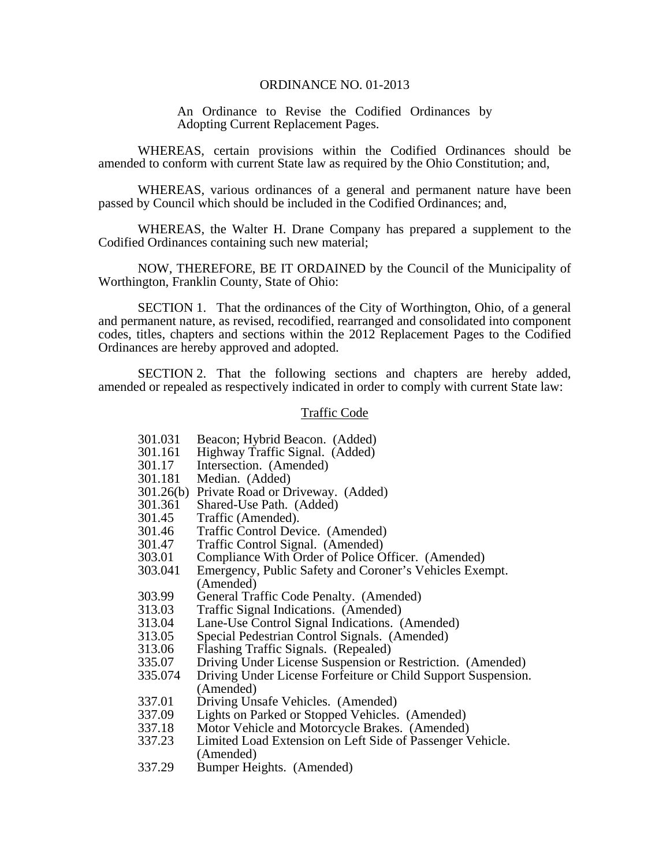### ORDINANCE NO. 01-2013

An Ordinance to Revise the Codified Ordinances by Adopting Current Replacement Pages.

 WHEREAS, certain provisions within the Codified Ordinances should be amended to conform with current State law as required by the Ohio Constitution; and,

 WHEREAS, various ordinances of a general and permanent nature have been passed by Council which should be included in the Codified Ordinances; and,

 WHEREAS, the Walter H. Drane Company has prepared a supplement to the Codified Ordinances containing such new material;

NOW, THEREFORE, BE IT ORDAINED by the Council of the Municipality of Worthington, Franklin County, State of Ohio:

 SECTION 1. That the ordinances of the City of Worthington, Ohio, of a general and permanent nature, as revised, recodified, rearranged and consolidated into component codes, titles, chapters and sections within the 2012 Replacement Pages to the Codified Ordinances are hereby approved and adopted.

 SECTION 2. That the following sections and chapters are hereby added, amended or repealed as respectively indicated in order to comply with current State law:

### Traffic Code

- 301.031 Beacon; Hybrid Beacon. (Added)
- 301.161 Highway Traffic Signal. (Added)
- 301.17 Intersection. (Amended)
- 301.181 Median. (Added)
- 301.26(b) Private Road or Driveway. (Added)
- 301.361 Shared-Use Path. (Added)
- 301.45 Traffic (Amended).
- 301.46 Traffic Control Device. (Amended)
- 301.47 Traffic Control Signal. (Amended)
- 303.01 Compliance With Order of Police Officer. (Amended)<br>303.041 Emergency, Public Safety and Coroner's Vehicles Exer
- Emergency, Public Safety and Coroner's Vehicles Exempt. (Amended)
- 303.99 General Traffic Code Penalty. (Amended)
- 313.03 Traffic Signal Indications. (Amended)<br>313.04 Lane-Use Control Signal Indications. (
- Lane-Use Control Signal Indications. (Amended)
- 313.05 Special Pedestrian Control Signals. (Amended)
- 313.06 Flashing Traffic Signals. (Repealed)
- 335.07 Driving Under License Suspension or Restriction. (Amended)<br>335.074 Driving Under License Forfeiture or Child Support Suspension
- Driving Under License Forfeiture or Child Support Suspension. (Amended)
- 337.01 Driving Unsafe Vehicles. (Amended)
- 337.09 Lights on Parked or Stopped Vehicles. (Amended)
- 337.18 Motor Vehicle and Motorcycle Brakes. (Amended)<br>337.23 Limited Load Extension on Left Side of Passenger V
- Limited Load Extension on Left Side of Passenger Vehicle. (Amended)
- 337.29 Bumper Heights. (Amended)